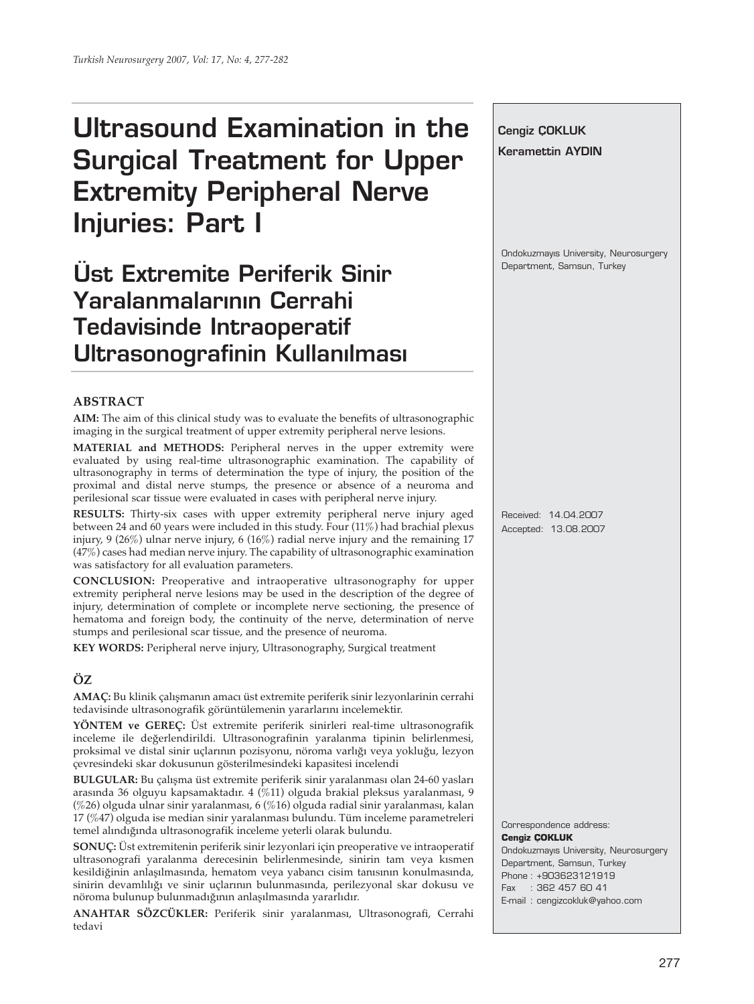# **Ultrasound Examination in the Surgical Treatment for Upper Extremity Peripheral Nerve Injuries: Part I**

**Üst Extremite Periferik Sinir** Yaralanmalarının Cerrahi **Tedavisinde Intraoperatif Ultrasonografinin Kullanılması** 

#### **ABSTRACT**

**AIM:** The aim of this clinical study was to evaluate the benefits of ultrasonographic imaging in the surgical treatment of upper extremity peripheral nerve lesions.

**MATERIAL and METHODS:** Peripheral nerves in the upper extremity were evaluated by using real-time ultrasonographic examination. The capability of ultrasonography in terms of determination the type of injury, the position of the proximal and distal nerve stumps, the presence or absence of a neuroma and perilesional scar tissue were evaluated in cases with peripheral nerve injury.

**RESULTS:** Thirty-six cases with upper extremity peripheral nerve injury aged between 24 and 60 years were included in this study. Four (11%) had brachial plexus injury, 9 (26%) ulnar nerve injury, 6 (16%) radial nerve injury and the remaining 17 (47%) cases had median nerve injury. The capability of ultrasonographic examination was satisfactory for all evaluation parameters.

**CONCLUSION:** Preoperative and intraoperative ultrasonography for upper extremity peripheral nerve lesions may be used in the description of the degree of injury, determination of complete or incomplete nerve sectioning, the presence of hematoma and foreign body, the continuity of the nerve, determination of nerve stumps and perilesional scar tissue, and the presence of neuroma.

**KEY WORDS:** Peripheral nerve injury, Ultrasonography, Surgical treatment

## **ÖZ**

**AMAÇ:** Bu klinik çalışmanın amacı üst extremite periferik sinir lezyonlarinin cerrahi tedavisinde ultrasonografik görüntülemenin yararlarını incelemektir.

**YÖNTEM ve GEREÇ:** Üst extremite periferik sinirleri real-time ultrasonografik inceleme ile değerlendirildi. Ultrasonografinin yaralanma tipinin belirlenmesi, proksimal ve distal sinir uçlarının pozisyonu, nöroma varlığı veya yokluğu, lezyon çevresindeki skar dokusunun gösterilmesindeki kapasitesi incelendi

**BULGULAR:** Bu çalışma üst extremite periferik sinir yaralanması olan 24-60 yasları arasında 36 olguyu kapsamaktadır. 4 (%11) olguda brakial pleksus yaralanması, 9 (%26) olguda ulnar sinir yaralanması, 6 (%16) olguda radial sinir yaralanması, kalan 17 (%47) olguda ise median sinir yaralanması bulundu. Tüm inceleme parametreleri temel alındığında ultrasonografik inceleme yeterli olarak bulundu.

**SONUÇ:** Üst extremitenin periferik sinir lezyonlari için preoperative ve intraoperatif ultrasonografi yaralanma derecesinin belirlenmesinde, sinirin tam veya kısmen kesildiğinin anlaşılmasında, hematom veya yabancı cisim tanısının konulmasında, sinirin devamlılığı ve sinir uçlarının bulunmasında, perilezyonal skar dokusu ve nöroma bulunup bulunmadığının anlaşılmasında yararlıdır.

**ANAHTAR SÖZCÜKLER:** Periferik sinir yaralanması, Ultrasonografi, Cerrahi tedavi

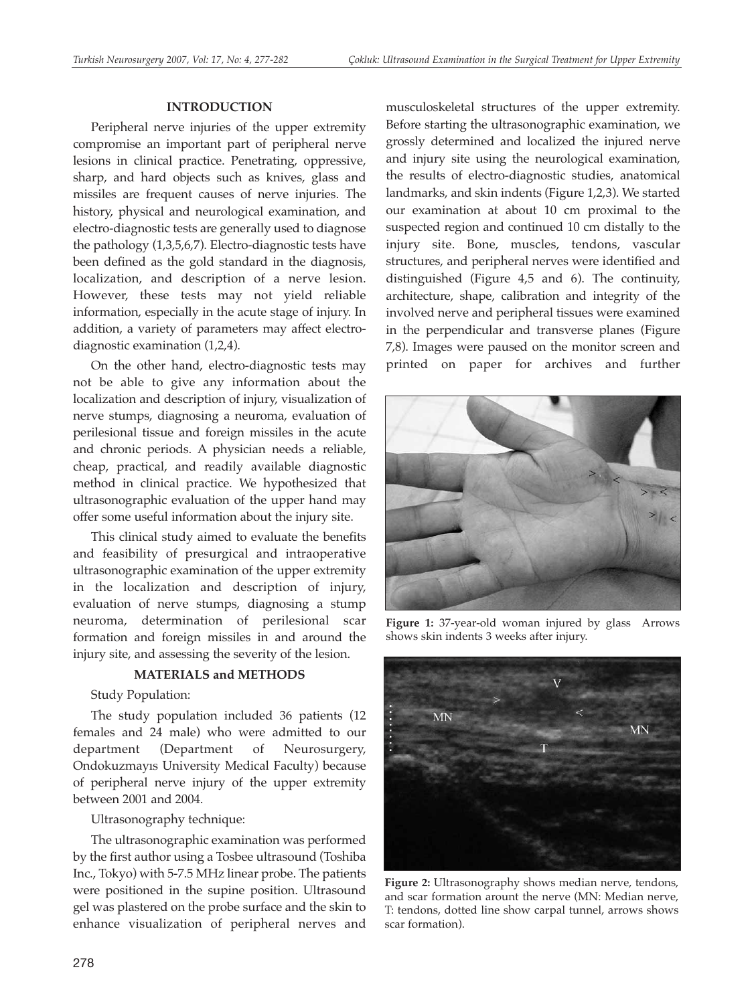#### **INTRODUCTION**

Peripheral nerve injuries of the upper extremity compromise an important part of peripheral nerve lesions in clinical practice. Penetrating, oppressive, sharp, and hard objects such as knives, glass and missiles are frequent causes of nerve injuries. The history, physical and neurological examination, and electro-diagnostic tests are generally used to diagnose the pathology (1,3,5,6,7). Electro-diagnostic tests have been defined as the gold standard in the diagnosis, localization, and description of a nerve lesion. However, these tests may not yield reliable information, especially in the acute stage of injury. In addition, a variety of parameters may affect electrodiagnostic examination (1,2,4).

On the other hand, electro-diagnostic tests may not be able to give any information about the localization and description of injury, visualization of nerve stumps, diagnosing a neuroma, evaluation of perilesional tissue and foreign missiles in the acute and chronic periods. A physician needs a reliable, cheap, practical, and readily available diagnostic method in clinical practice. We hypothesized that ultrasonographic evaluation of the upper hand may offer some useful information about the injury site.

This clinical study aimed to evaluate the benefits and feasibility of presurgical and intraoperative ultrasonographic examination of the upper extremity in the localization and description of injury, evaluation of nerve stumps, diagnosing a stump neuroma, determination of perilesional scar formation and foreign missiles in and around the injury site, and assessing the severity of the lesion.

#### **MATERIALS and METHODS**

Study Population:

The study population included 36 patients (12 females and 24 male) who were admitted to our department (Department of Neurosurgery, Ondokuzmayıs University Medical Faculty) because of peripheral nerve injury of the upper extremity between 2001 and 2004.

Ultrasonography technique:

The ultrasonographic examination was performed by the first author using a Tosbee ultrasound (Toshiba Inc., Tokyo) with 5-7.5 MHz linear probe. The patients were positioned in the supine position. Ultrasound gel was plastered on the probe surface and the skin to enhance visualization of peripheral nerves and

musculoskeletal structures of the upper extremity. Before starting the ultrasonographic examination, we grossly determined and localized the injured nerve and injury site using the neurological examination, the results of electro-diagnostic studies, anatomical landmarks, and skin indents (Figure 1,2,3). We started our examination at about 10 cm proximal to the suspected region and continued 10 cm distally to the injury site. Bone, muscles, tendons, vascular structures, and peripheral nerves were identified and distinguished (Figure 4,5 and 6). The continuity, architecture, shape, calibration and integrity of the involved nerve and peripheral tissues were examined in the perpendicular and transverse planes (Figure 7,8). Images were paused on the monitor screen and printed on paper for archives and further



**Figure 1:** 37-year-old woman injured by glass Arrows shows skin indents 3 weeks after injury.



**Figure 2:** Ultrasonography shows median nerve, tendons, and scar formation arount the nerve (MN: Median nerve, T: tendons, dotted line show carpal tunnel, arrows shows scar formation).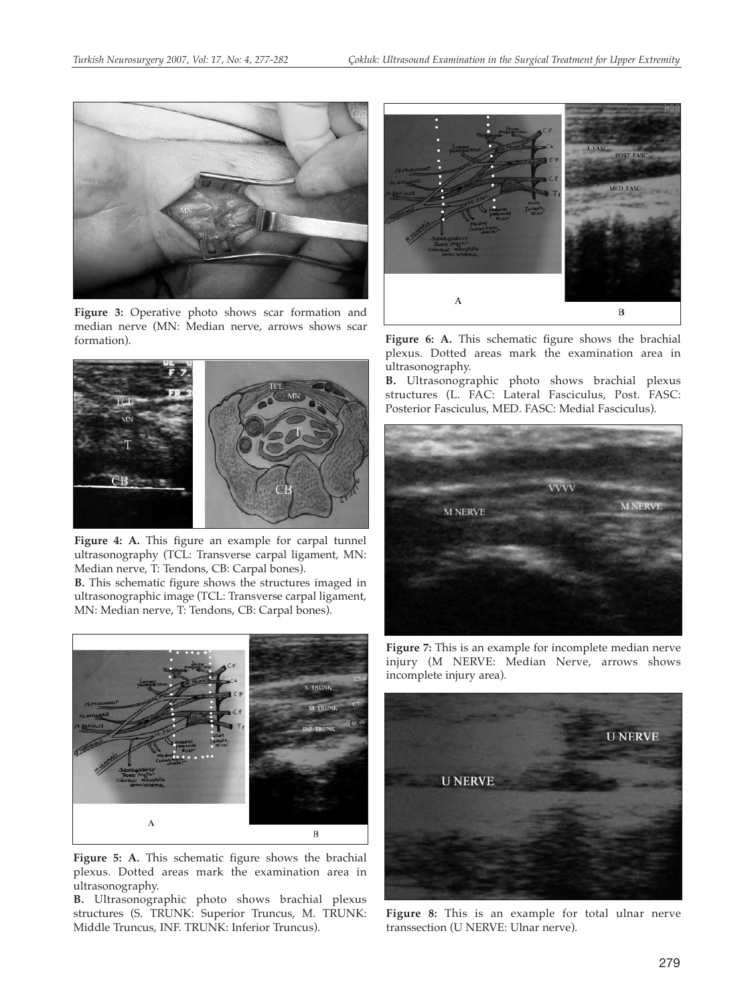

**Figure 3:** Operative photo shows scar formation and median nerve (MN: Median nerve, arrows shows scar formation).



**Figure 4: A.** This figure an example for carpal tunnel ultrasonography (TCL: Transverse carpal ligament, MN: Median nerve, T: Tendons, CB: Carpal bones).

**B.** This schematic figure shows the structures imaged in ultrasonographic image (TCL: Transverse carpal ligament, MN: Median nerve, T: Tendons, CB: Carpal bones).



**Figure 5: A.** This schematic figure shows the brachial plexus. Dotted areas mark the examination area in ultrasonography.

**B.** Ultrasonographic photo shows brachial plexus structures (S. TRUNK: Superior Truncus, M. TRUNK: Middle Truncus, INF. TRUNK: Inferior Truncus).



Figure 6: A. This schematic figure shows the brachial plexus. Dotted areas mark the examination area in ultrasonography.

**B.** Ultrasonographic photo shows brachial plexus structures (L. FAC: Lateral Fasciculus, Post. FASC: Posterior Fasciculus, MED. FASC: Medial Fasciculus).



**Figure 7:** This is an example for incomplete median nerve injury (M NERVE: Median Nerve, arrows shows incomplete injury area).



**Figure 8:** This is an example for total ulnar nerve transsection (U NERVE: Ulnar nerve).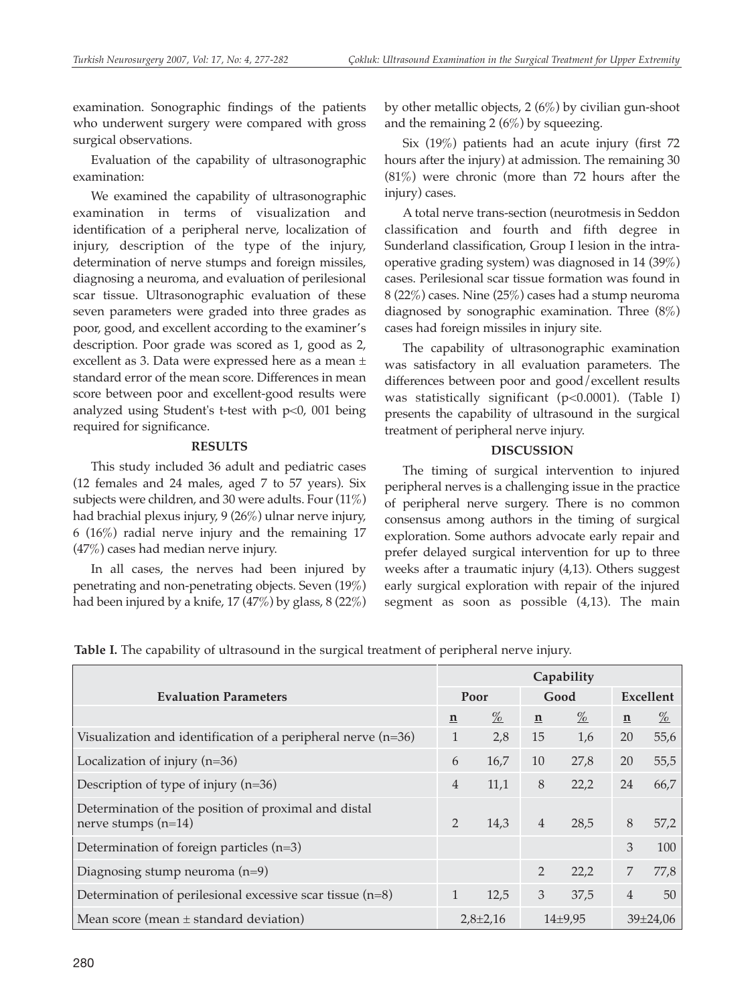examination. Sonographic findings of the patients who underwent surgery were compared with gross surgical observations.

Evaluation of the capability of ultrasonographic examination:

We examined the capability of ultrasonographic examination in terms of visualization and identification of a peripheral nerve, localization of injury, description of the type of the injury, determination of nerve stumps and foreign missiles, diagnosing a neuroma, and evaluation of perilesional scar tissue. Ultrasonographic evaluation of these seven parameters were graded into three grades as poor, good, and excellent according to the examiner's description. Poor grade was scored as 1, good as 2, excellent as 3. Data were expressed here as a mean ± standard error of the mean score. Differences in mean score between poor and excellent-good results were analyzed using Student's t-test with p<0, 001 being required for significance.

## **RESULTS**

This study included 36 adult and pediatric cases (12 females and 24 males, aged 7 to 57 years). Six subjects were children, and 30 were adults. Four (11%) had brachial plexus injury, 9 (26%) ulnar nerve injury, 6 (16%) radial nerve injury and the remaining 17 (47%) cases had median nerve injury.

In all cases, the nerves had been injured by penetrating and non-penetrating objects. Seven (19%) had been injured by a knife, 17 (47%) by glass, 8 (22%) by other metallic objects, 2 (6%) by civilian gun-shoot and the remaining  $2(6\%)$  by squeezing.

Six (19%) patients had an acute injury (first 72 hours after the injury) at admission. The remaining 30 (81%) were chronic (more than 72 hours after the injury) cases.

A total nerve trans-section (neurotmesis in Seddon classification and fourth and fifth degree in Sunderland classification, Group I lesion in the intraoperative grading system) was diagnosed in 14 (39%) cases. Perilesional scar tissue formation was found in 8 (22%) cases. Nine (25%) cases had a stump neuroma diagnosed by sonographic examination. Three (8%) cases had foreign missiles in injury site.

The capability of ultrasonographic examination was satisfactory in all evaluation parameters. The differences between poor and good/excellent results was statistically significant (p<0.0001). (Table I) presents the capability of ultrasound in the surgical treatment of peripheral nerve injury.

# **DISCUSSION**

The timing of surgical intervention to injured peripheral nerves is a challenging issue in the practice of peripheral nerve surgery. There is no common consensus among authors in the timing of surgical exploration. Some authors advocate early repair and prefer delayed surgical intervention for up to three weeks after a traumatic injury (4,13). Others suggest early surgical exploration with repair of the injured segment as soon as possible (4,13). The main

**Table I.** The capability of ultrasound in the surgical treatment of peripheral nerve injury.

|                                                                               | Capability    |                 |                |                 |                |                 |
|-------------------------------------------------------------------------------|---------------|-----------------|----------------|-----------------|----------------|-----------------|
| <b>Evaluation Parameters</b>                                                  | Poor          |                 | Good           |                 | Excellent      |                 |
|                                                                               | $\mathbf n$   | $\frac{\%}{\%}$ | $\mathbf n$    | $\frac{\%}{\%}$ | $\mathbf n$    | $\frac{\%}{\%}$ |
| Visualization and identification of a peripheral nerve (n=36)                 | $\mathbf{1}$  | 2,8             | 15             | 1,6             | 20             | 55,6            |
| Localization of injury $(n=36)$                                               | 6             | 16,7            | 10             | 27,8            | 20             | 55,5            |
| Description of type of injury $(n=36)$                                        | 4             | 11,1            | $8\,$          | 22,2            | 24             | 66,7            |
| Determination of the position of proximal and distal<br>nerve stumps $(n=14)$ | $\mathcal{P}$ | 14,3            | $\overline{4}$ | 28,5            | 8              | 57,2            |
| Determination of foreign particles $(n=3)$                                    |               |                 |                |                 | 3              | 100             |
| Diagnosing stump neuroma $(n=9)$                                              |               |                 | $\overline{2}$ | 22,2            | 7              | 77,8            |
| Determination of perilesional excessive scar tissue (n=8)                     | 1             | 12,5            | 3              | 37,5            | 4              | 50              |
| Mean score (mean $\pm$ standard deviation)                                    | $2,8\pm2,16$  |                 | $14\pm9.95$    |                 | $39 \pm 24,06$ |                 |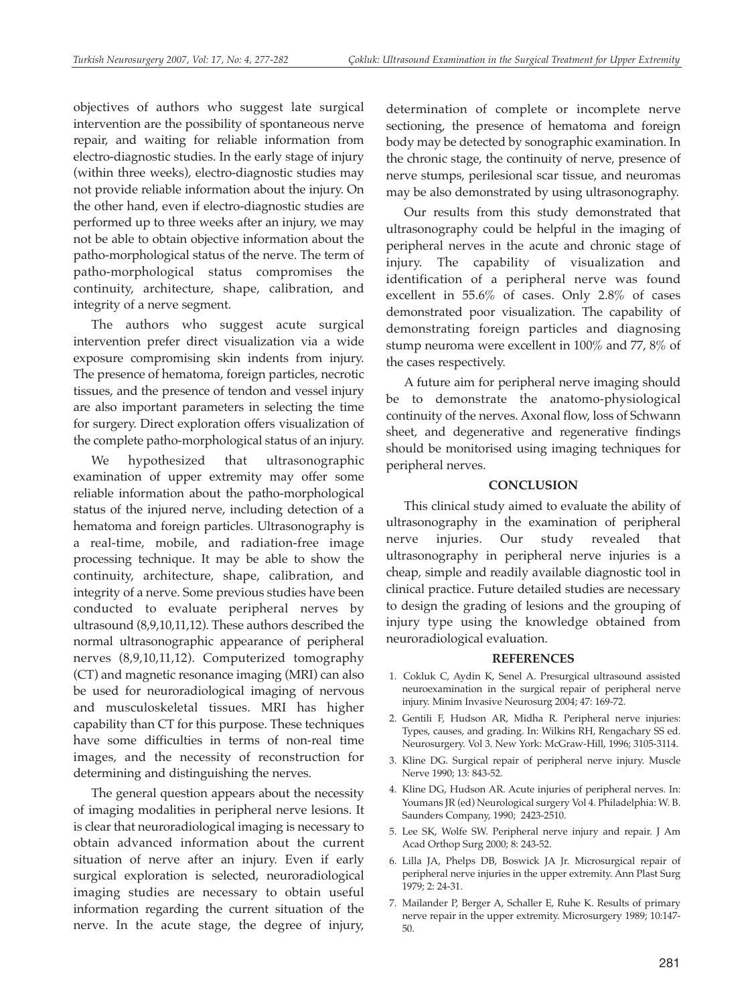objectives of authors who suggest late surgical intervention are the possibility of spontaneous nerve repair, and waiting for reliable information from electro-diagnostic studies. In the early stage of injury (within three weeks), electro-diagnostic studies may not provide reliable information about the injury. On the other hand, even if electro-diagnostic studies are performed up to three weeks after an injury, we may not be able to obtain objective information about the patho-morphological status of the nerve. The term of patho-morphological status compromises the continuity, architecture, shape, calibration, and integrity of a nerve segment.

The authors who suggest acute surgical intervention prefer direct visualization via a wide exposure compromising skin indents from injury. The presence of hematoma, foreign particles, necrotic tissues, and the presence of tendon and vessel injury are also important parameters in selecting the time for surgery. Direct exploration offers visualization of the complete patho-morphological status of an injury.

We hypothesized that ultrasonographic examination of upper extremity may offer some reliable information about the patho-morphological status of the injured nerve, including detection of a hematoma and foreign particles. Ultrasonography is a real-time, mobile, and radiation-free image processing technique. It may be able to show the continuity, architecture, shape, calibration, and integrity of a nerve. Some previous studies have been conducted to evaluate peripheral nerves by ultrasound (8,9,10,11,12). These authors described the normal ultrasonographic appearance of peripheral nerves (8,9,10,11,12). Computerized tomography (CT) and magnetic resonance imaging (MRI) can also be used for neuroradiological imaging of nervous and musculoskeletal tissues. MRI has higher capability than CT for this purpose. These techniques have some difficulties in terms of non-real time images, and the necessity of reconstruction for determining and distinguishing the nerves.

The general question appears about the necessity of imaging modalities in peripheral nerve lesions. It is clear that neuroradiological imaging is necessary to obtain advanced information about the current situation of nerve after an injury. Even if early surgical exploration is selected, neuroradiological imaging studies are necessary to obtain useful information regarding the current situation of the nerve. In the acute stage, the degree of injury,

determination of complete or incomplete nerve sectioning, the presence of hematoma and foreign body may be detected by sonographic examination. In the chronic stage, the continuity of nerve, presence of nerve stumps, perilesional scar tissue, and neuromas may be also demonstrated by using ultrasonography.

Our results from this study demonstrated that ultrasonography could be helpful in the imaging of peripheral nerves in the acute and chronic stage of injury. The capability of visualization and identification of a peripheral nerve was found excellent in 55.6% of cases. Only 2.8% of cases demonstrated poor visualization. The capability of demonstrating foreign particles and diagnosing stump neuroma were excellent in 100% and 77, 8% of the cases respectively.

A future aim for peripheral nerve imaging should be to demonstrate the anatomo-physiological continuity of the nerves. Axonal flow, loss of Schwann sheet, and degenerative and regenerative findings should be monitorised using imaging techniques for peripheral nerves.

## **CONCLUSION**

This clinical study aimed to evaluate the ability of ultrasonography in the examination of peripheral nerve injuries. Our study revealed that ultrasonography in peripheral nerve injuries is a cheap, simple and readily available diagnostic tool in clinical practice. Future detailed studies are necessary to design the grading of lesions and the grouping of injury type using the knowledge obtained from neuroradiological evaluation.

# **REFERENCES**

- 1. Cokluk C, Aydin K, Senel A. Presurgical ultrasound assisted neuroexamination in the surgical repair of peripheral nerve injury. Minim Invasive Neurosurg 2004; 47: 169-72.
- 2. Gentili F, Hudson AR, Midha R. Peripheral nerve injuries: Types, causes, and grading. In: Wilkins RH, Rengachary SS ed. Neurosurgery. Vol 3. New York: McGraw-Hill, 1996; 3105-3114.
- 3. Kline DG. Surgical repair of peripheral nerve injury. Muscle Nerve 1990; 13: 843-52.
- 4. Kline DG, Hudson AR. Acute injuries of peripheral nerves. In: Youmans JR (ed) Neurological surgery Vol 4. Philadelphia: W. B. Saunders Company, 1990; 2423-2510.
- 5. Lee SK, Wolfe SW. Peripheral nerve injury and repair. J Am Acad Orthop Surg 2000; 8: 243-52.
- 6. Lilla JA, Phelps DB, Boswick JA Jr. Microsurgical repair of peripheral nerve injuries in the upper extremity. Ann Plast Surg 1979; 2: 24-31.
- 7. Mailander P, Berger A, Schaller E, Ruhe K. Results of primary nerve repair in the upper extremity. Microsurgery 1989; 10:147- 50.